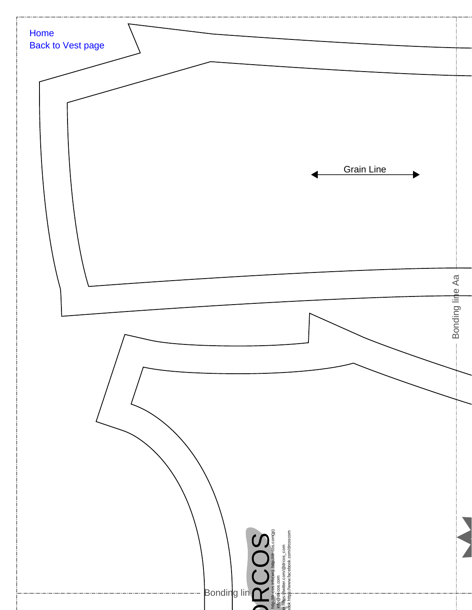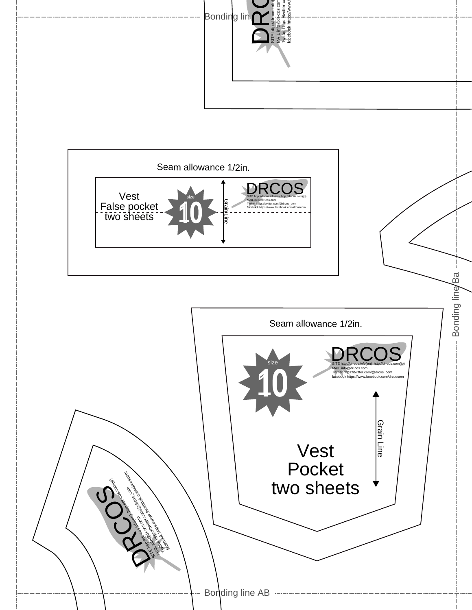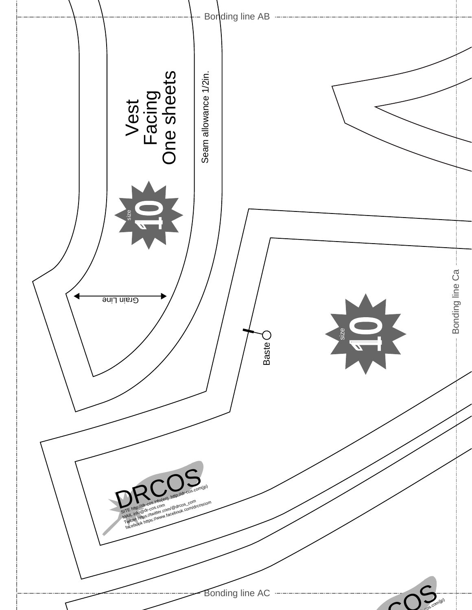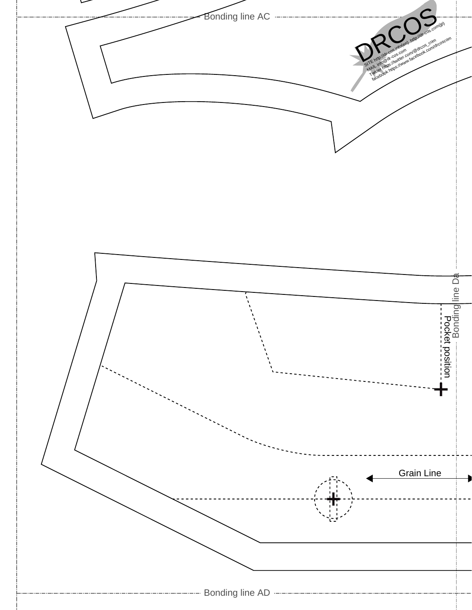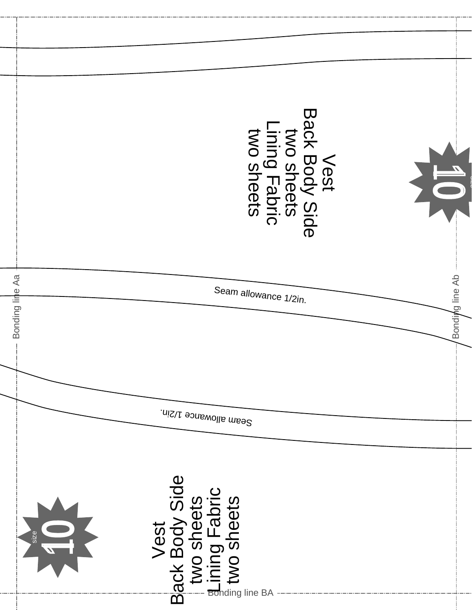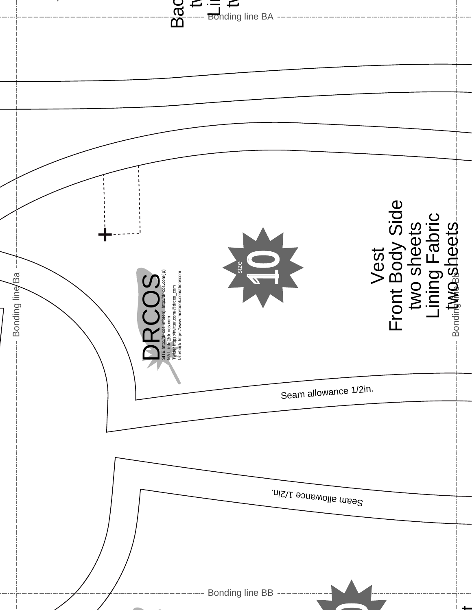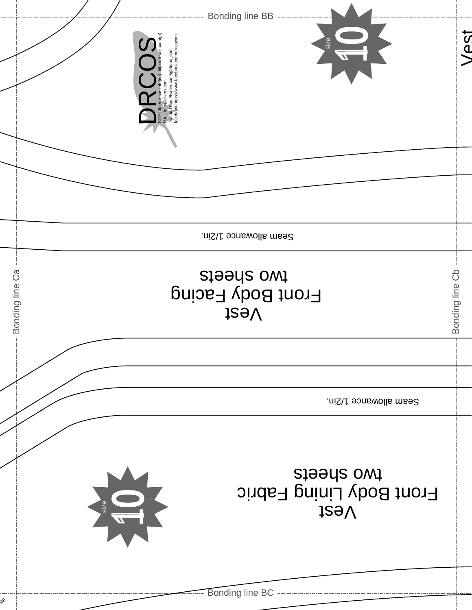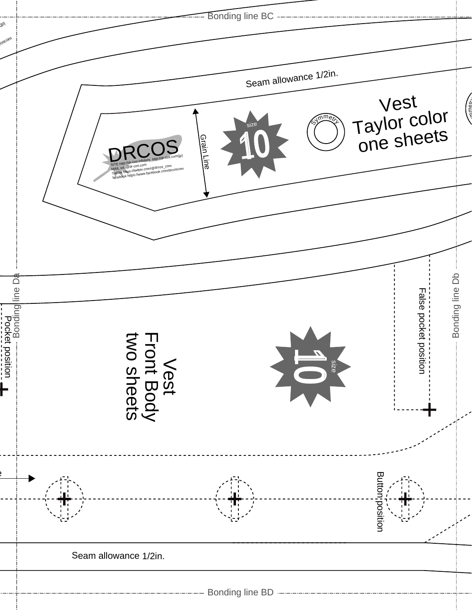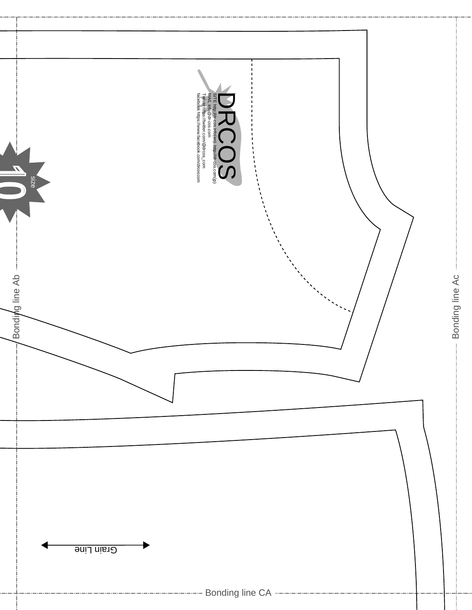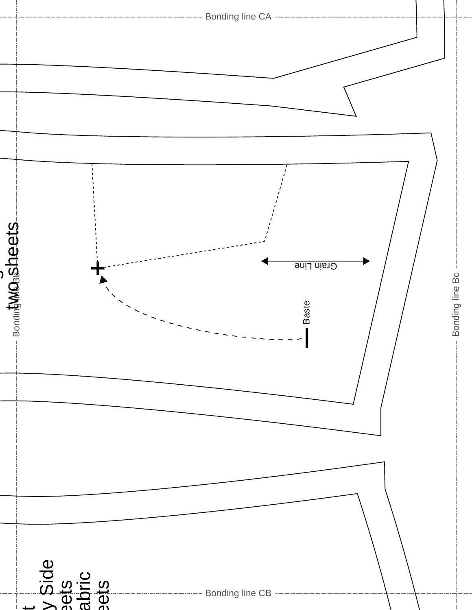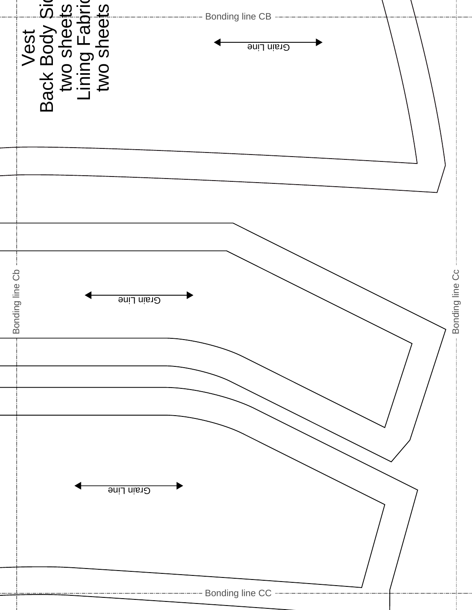|                                                                       | Bonding line Cc |            |                                                                  |
|-----------------------------------------------------------------------|-----------------|------------|------------------------------------------------------------------|
|                                                                       |                 |            |                                                                  |
| Bonding line CB -------<br>Grain Line                                 |                 |            | --------------------- Bonding line CC -------------------------- |
| Vest<br>Back Body Sir<br>two sheets<br>Lining Fabric<br>Lining Fabric | Grain Line      | Grain Line |                                                                  |
|                                                                       | Bonding line Cb |            |                                                                  |

— ·